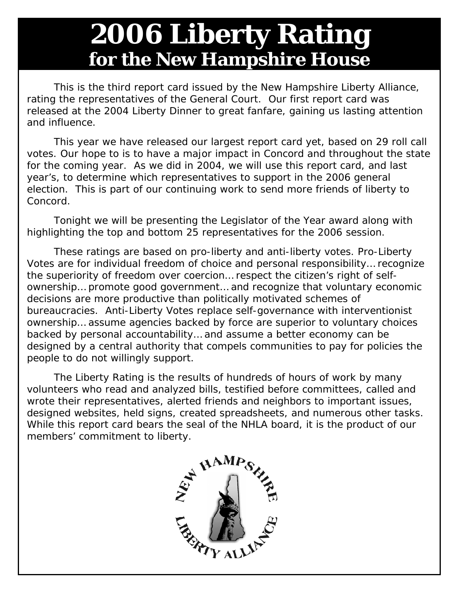## **2006 Liberty Rating for the New Hampshire House**

 This is the third report card issued by the *New Hampshire Liberty Alliance*, rating the representatives of the General Court. Our first report card was released at the 2004 Liberty Dinner to great fanfare, gaining us lasting attention and influence.

 This year we have released our largest report card yet, based on 29 roll call votes. Our hope to is to have a major impact in Concord and throughout the state for the coming year. As we did in 2004, we will use this report card, and last year's, to determine which representatives to support in the 2006 general election. This is part of our continuing work to send more friends of liberty to Concord.

 Tonight we will be presenting the *Legislator of the Year* award along with highlighting the top and bottom 25 representatives for the 2006 session.

 These ratings are based on pro-liberty and anti-liberty votes. *Pro-Liberty Votes* are for individual freedom of choice and personal responsibility… recognize the superiority of freedom over coercion… respect the citizen's right of selfownership… promote good government… and recognize that voluntary economic decisions are more productive than politically motivated schemes of bureaucracies. *Anti-Liberty Votes* replace self-governance with interventionist ownership… assume agencies backed by force are superior to voluntary choices backed by personal accountability… and assume a better economy can be designed by a central authority that compels communities to pay for policies the people to do not willingly support.

 The *Liberty Rating* is the results of hundreds of hours of work by many volunteers who read and analyzed bills, testified before committees, called and wrote their representatives, alerted friends and neighbors to important issues, designed websites, held signs, created spreadsheets, and numerous other tasks. While this report card bears the seal of the NHLA board, it is the product of our members' commitment to liberty.

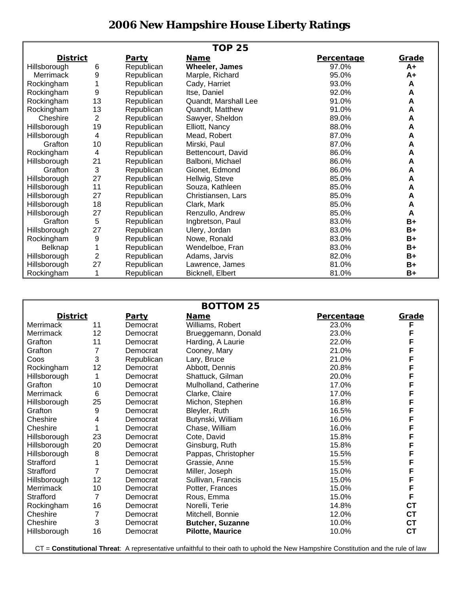## **2006 New Hampshire House Liberty Ratings**

| <b>TOP 25</b>    |                |              |                       |                   |       |  |  |  |
|------------------|----------------|--------------|-----------------------|-------------------|-------|--|--|--|
| <u>District</u>  |                | <b>Party</b> | <u>Name</u>           | <b>Percentage</b> | Grade |  |  |  |
| Hillsborough     | 6              | Republican   | <b>Wheeler, James</b> | 97.0%             | $A+$  |  |  |  |
| <b>Merrimack</b> | 9              | Republican   | Marple, Richard       | 95.0%             | A+    |  |  |  |
| Rockingham       |                | Republican   | Cady, Harriet         | 93.0%             | A     |  |  |  |
| Rockingham       | 9              | Republican   | Itse, Daniel          | 92.0%             | A     |  |  |  |
| Rockingham       | 13             | Republican   | Quandt, Marshall Lee  | 91.0%             | A     |  |  |  |
| Rockingham       | 13             | Republican   | Quandt, Matthew       | 91.0%             | A     |  |  |  |
| Cheshire         | $\overline{2}$ | Republican   | Sawyer, Sheldon       | 89.0%             | Α     |  |  |  |
| Hillsborough     | 19             | Republican   | Elliott, Nancy        | 88.0%             | A     |  |  |  |
| Hillsborough     | 4              | Republican   | Mead, Robert          | 87.0%             | A     |  |  |  |
| Grafton          | 10             | Republican   | Mirski, Paul          | 87.0%             | A     |  |  |  |
| Rockingham       | 4              | Republican   | Bettencourt, David    | 86.0%             | A     |  |  |  |
| Hillsborough     | 21             | Republican   | Balboni, Michael      | 86.0%             | A     |  |  |  |
| Grafton          | $\sqrt{3}$     | Republican   | Gionet, Edmond        | 86.0%             | A     |  |  |  |
| Hillsborough     | 27             | Republican   | Hellwig, Steve        | 85.0%             | A     |  |  |  |
| Hillsborough     | 11             | Republican   | Souza, Kathleen       | 85.0%             | A     |  |  |  |
| Hillsborough     | 27             | Republican   | Christiansen, Lars    | 85.0%             | A     |  |  |  |
| Hillsborough     | 18             | Republican   | Clark, Mark           | 85.0%             | A     |  |  |  |
| Hillsborough     | 27             | Republican   | Renzullo, Andrew      | 85.0%             | A     |  |  |  |
| Grafton          | 5              | Republican   | Ingbretson, Paul      | 83.0%             | $B+$  |  |  |  |
| Hillsborough     | 27             | Republican   | Ulery, Jordan         | 83.0%             | $B+$  |  |  |  |
| Rockingham       | 9              | Republican   | Nowe, Ronald          | 83.0%             | B+    |  |  |  |
| Belknap          |                | Republican   | Wendelboe, Fran       | 83.0%             | B+    |  |  |  |
| Hillsborough     | $\overline{2}$ | Republican   | Adams, Jarvis         | 82.0%             | B+    |  |  |  |
| Hillsborough     | 27             | Republican   | Lawrence, James       | 81.0%             | B+    |  |  |  |
| Rockingham       |                | Republican   | Bicknell, Elbert      | 81.0%             | $B+$  |  |  |  |

| <b>BOTTOM 25</b> |                |              |                         |            |           |  |  |  |
|------------------|----------------|--------------|-------------------------|------------|-----------|--|--|--|
| <b>District</b>  |                | <b>Party</b> | <b>Name</b>             | Percentage | Grade     |  |  |  |
| Merrimack        | 11             | Democrat     | Williams, Robert        | 23.0%      | F         |  |  |  |
| Merrimack        | 12             | Democrat     | Brueggemann, Donald     | 23.0%      | F         |  |  |  |
| Grafton          | 11             | Democrat     | Harding, A Laurie       | 22.0%      | F         |  |  |  |
| Grafton          | 7              | Democrat     | Cooney, Mary            | 21.0%      | F         |  |  |  |
| Coos             | 3              | Republican   | Lary, Bruce             | 21.0%      | F         |  |  |  |
| Rockingham       | 12             | Democrat     | Abbott, Dennis          | 20.8%      | F         |  |  |  |
| Hillsborough     |                | Democrat     | Shattuck, Gilman        | 20.0%      | F         |  |  |  |
| Grafton          | 10             | Democrat     | Mulholland, Catherine   | 17.0%      | F         |  |  |  |
| Merrimack        | 6              | Democrat     | Clarke, Claire          | 17.0%      | F         |  |  |  |
| Hillsborough     | 25             | Democrat     | Michon, Stephen         | 16.8%      | F         |  |  |  |
| Grafton          | 9              | Democrat     | Bleyler, Ruth           | 16.5%      | F         |  |  |  |
| Cheshire         | 4              | Democrat     | Butynski, William       | 16.0%      | F         |  |  |  |
| Cheshire         |                | Democrat     | Chase, William          | 16.0%      | F         |  |  |  |
| Hillsborough     | 23             | Democrat     | Cote, David             | 15.8%      | F         |  |  |  |
| Hillsborough     | 20             | Democrat     | Ginsburg, Ruth          | 15.8%      | F         |  |  |  |
| Hillsborough     | 8              | Democrat     | Pappas, Christopher     | 15.5%      | F         |  |  |  |
| Strafford        |                | Democrat     | Grassie, Anne           | 15.5%      | F         |  |  |  |
| Strafford        | 7              | Democrat     | Miller, Joseph          | 15.0%      | F         |  |  |  |
| Hillsborough     | 12             | Democrat     | Sullivan, Francis       | 15.0%      | F         |  |  |  |
| Merrimack        | 10             | Democrat     | Potter, Frances         | 15.0%      | F         |  |  |  |
| Strafford        | 7              | Democrat     | Rous, Emma              | 15.0%      | F         |  |  |  |
| Rockingham       | 16             | Democrat     | Norelli, Terie          | 14.8%      | <b>CT</b> |  |  |  |
| Cheshire         | $\overline{7}$ | Democrat     | Mitchell, Bonnie        | 12.0%      | <b>CT</b> |  |  |  |
| Cheshire         | 3              | Democrat     | <b>Butcher, Suzanne</b> | 10.0%      | <b>CT</b> |  |  |  |
| Hillsborough     | 16             | Democrat     | <b>Pilotte, Maurice</b> | 10.0%      | <b>CT</b> |  |  |  |

CT = **Constitutional Threat**: A representative unfaithful to their oath to uphold the New Hampshire Constitution and the rule of law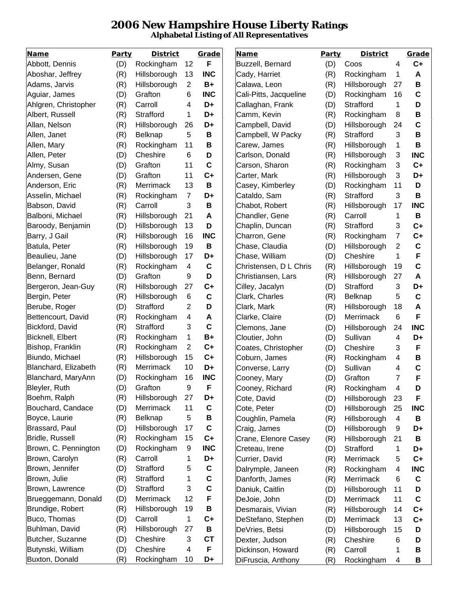## **2006 New Hampshire House Liberty Ratings Alphabetal Listing of All Representatives**

| <b>Name</b>          | Party | <b>District</b> |                | Grade       | <b>Name</b>            | Party | <b>District</b> |                         | Grade       |
|----------------------|-------|-----------------|----------------|-------------|------------------------|-------|-----------------|-------------------------|-------------|
| Abbott, Dennis       | (D)   | Rockingham      | 12             | F           | Buzzell, Bernard       | (D)   | Coos            | 4                       | $C+$        |
| Aboshar, Jeffrey     | (R)   | Hillsborough    | 13             | <b>INC</b>  | Cady, Harriet          | (R)   | Rockingham      | 1                       | A           |
| Adams, Jarvis        | (R)   | Hillsborough    | 2              | B+          | Calawa, Leon           | (R)   | Hillsborough    | 27                      | B           |
| Aguiar, James        | (D)   | Grafton         | 6              | <b>INC</b>  | Cali-Pitts, Jacqueline | (D)   | Rockingham      | 16                      | $\mathbf C$ |
| Ahlgren, Christopher | (R)   | Carroll         | 4              | D+          | Callaghan, Frank       | (D)   | Strafford       | 1                       | D           |
| Albert, Russell      | (R)   | Strafford       | 1              | D+          | Camm, Kevin            | (R)   | Rockingham      | 8                       | B           |
| Allan, Nelson        | (R)   | Hillsborough    | 26             | D+          | Campbell, David        | (D)   | Hillsborough    | 24                      | $\mathbf c$ |
| Allen, Janet         | (R)   | Belknap         | 5              | B           | Campbell, W Packy      | (R)   | Strafford       | 3                       | B           |
| Allen, Mary          | (R)   | Rockingham      | 11             | B           | Carew, James           | (R)   | Hillsborough    | 1                       | B           |
| Allen, Peter         | (D)   | Cheshire        | 6              | D           | Carlson, Donald        | (R)   | Hillsborough    | 3                       | <b>INC</b>  |
| Almy, Susan          | (D)   | Grafton         | 11             | C           | Carson, Sharon         | (R)   | Rockingham      | 3                       | $C+$        |
| Andersen, Gene       | (D)   | Grafton         | 11             | $C+$        | Carter, Mark           | (R)   | Hillsborough    | 3                       | D+          |
| Anderson, Eric       | (R)   | Merrimack       | 13             | B           | Casey, Kimberley       | (D)   | Rockingham      | 11                      | D           |
| Asselin, Michael     | (R)   | Rockingham      | $\overline{7}$ | D+          | Cataldo, Sam           | (R)   | Strafford       | 3                       | B           |
| Babson, David        | (R)   | Carroll         | 3              | B           | Chabot, Robert         | (R)   | Hillsborough    | 17                      | <b>INC</b>  |
| Balboni, Michael     | (R)   | Hillsborough    | 21             | A           | Chandler, Gene         | (R)   | Carroll         | 1                       | B           |
| Baroody, Benjamin    | (D)   | Hillsborough    | 13             | D           | Chaplin, Duncan        | (R)   | Strafford       | 3                       | $C+$        |
| Barry, J Gail        | (R)   | Hillsborough    | 16             | <b>INC</b>  | Charron, Gene          | (R)   | Rockingham      | $\overline{7}$          | $C+$        |
| Batula, Peter        | (R)   | Hillsborough    | 19             | B           | Chase, Claudia         | (D)   | Hillsborough    | $\overline{2}$          | $\mathbf C$ |
| Beaulieu, Jane       | (D)   | Hillsborough    | 17             | D+          | Chase, William         | (D)   | Cheshire        | 1                       | F           |
| Belanger, Ronald     | (R)   | Rockingham      | 4              | C           | Christensen, D L Chris | (R)   | Hillsborough    | 19                      | $\mathbf C$ |
| Benn, Bernard        | (D)   | Grafton         | 9              | D           | Christiansen, Lars     | (R)   | Hillsborough    | 27                      | A           |
| Bergeron, Jean-Guy   | (R)   | Hillsborough    | 27             | $C+$        | Cilley, Jacalyn        | (D)   | Strafford       | 3                       | D+          |
| Bergin, Peter        | (R)   | Hillsborough    | 6              | C           | Clark, Charles         | (R)   | Belknap         | 5                       | $\mathbf C$ |
| Berube, Roger        | (D)   | Strafford       | 2              | D           | Clark, Mark            | (R)   | Hillsborough    | 18                      | A           |
| Bettencourt, David   | (R)   | Rockingham      | 4              | A           | Clarke, Claire         | (D)   | Merrimack       | 6                       | F           |
| Bickford, David      | (R)   | Strafford       | 3              | $\mathbf c$ | Clemons, Jane          | (D)   | Hillsborough    | 24                      | <b>INC</b>  |
| Bicknell, Elbert     | (R)   | Rockingham      | 1              | $B+$        | Cloutier, John         | (D)   | Sullivan        | 4                       | D+          |
| Bishop, Franklin     | (R)   | Rockingham      | 2              | $C+$        | Coates, Christopher    | (D)   | Cheshire        | 3                       | F           |
| Biundo, Michael      | (R)   | Hillsborough    | 15             | $C+$        | Coburn, James          | (R)   | Rockingham      | $\overline{\mathbf{4}}$ | B           |
| Blanchard, Elizabeth | (R)   | Merrimack       | 10             | D+          | Converse, Larry        | (D)   | Sullivan        | 4                       | $\mathbf c$ |
| Blanchard, MaryAnn   | (D)   | Rockingham      | 16             | <b>INC</b>  | Cooney, Mary           | (D)   | Grafton         | $\overline{7}$          | F           |
| Bleyler, Ruth        | (D)   | Grafton         | 9              | F           | Cooney, Richard        | (R)   | Rockingham      | 4                       | D           |
| Boehm, Ralph         | (R)   | Hillsborough    | 27             | D+          | Cote, David            | (D)   | Hillsborough    | 23                      | F           |
| Bouchard, Candace    | (D)   | Merrimack       | 11             | C           | Cote, Peter            | (D)   | Hillsborough    | 25                      | <b>INC</b>  |
| Boyce, Laurie        | (R)   | Belknap         | 5              | B           | Coughlin, Pamela       | (R)   | Hillsborough    | 4                       | B           |
| Brassard, Paul       | (D)   | Hillsborough    | 17             | C           | Craig, James           | (D)   | Hillsborough    | 9                       | D+          |
| Bridle, Russell      | (R)   | Rockingham      | 15             | $C+$        | Crane, Elenore Casey   | (R)   | Hillsborough    | 21                      | B           |
| Brown, C. Pennington | (D)   | Rockingham      | 9              | <b>INC</b>  | Creteau, Irene         | (D)   | Strafford       | 1                       | D+          |
| Brown, Carolyn       | (R)   | Carroll         | 1              | D+          | Currier, David         | (R)   | Merrimack       | 5                       | $C+$        |
| Brown, Jennifer      | (D)   | Strafford       | 5              | $\mathbf c$ | Dalrymple, Janeen      | (R)   | Rockingham      | $\overline{\mathbf{4}}$ | <b>INC</b>  |
| Brown, Julie         | (R)   | Strafford       | 1              | $\mathbf c$ | Danforth, James        | (R)   | Merrimack       | 6                       | C           |
| Brown, Lawrence      | (D)   | Strafford       | 3              | $\mathbf c$ | Daniuk, Caitlin        | (D)   | Hillsborough    | 11                      | D           |
| Brueggemann, Donald  | (D)   | Merrimack       | 12             | F           | DeJoie, John           | (D)   | Merrimack       | 11                      | $\mathbf c$ |
| Brundige, Robert     | (R)   | Hillsborough    | 19             | B           | Desmarais, Vivian      | (R)   | Hillsborough    | 14                      | $C+$        |
| Buco, Thomas         | (D)   | Carroll         | 1              | $C+$        | DeStefano, Stephen     | (D)   | Merrimack       | 13                      | $C+$        |
| Buhlman, David       | (R)   | Hillsborough    | 27             | B           | DeVries, Betsi         | (D)   | Hillsborough    | 15                      | D           |
| Butcher, Suzanne     | (D)   | Cheshire        | 3              | <b>CT</b>   | Dexter, Judson         | (R)   | Cheshire        | 6                       | D           |
| Butynski, William    | (D)   | Cheshire        | 4              | F           | Dickinson, Howard      | (R)   | Carroll         | 1                       | B           |
| Buxton, Donald       | (R)   | Rockingham      | 10             | D+          | DiFruscia, Anthony     | (R)   | Rockingham      | 4                       | B           |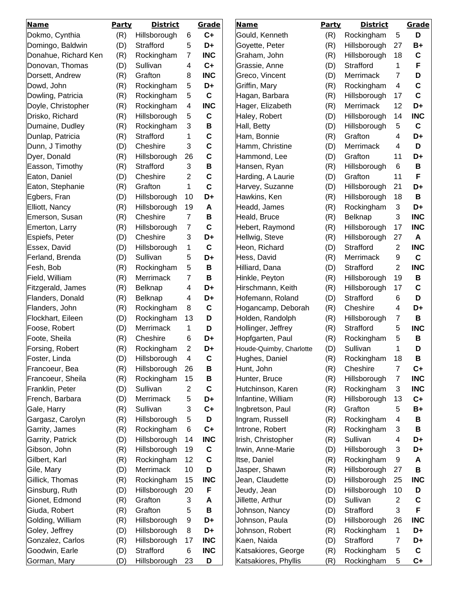| <b>Name</b>                      | <b>Party</b> | <b>District</b> |    | Grade       | <b>Name</b>                               | Party      | <b>District</b> |                | Grade       |
|----------------------------------|--------------|-----------------|----|-------------|-------------------------------------------|------------|-----------------|----------------|-------------|
| Dokmo, Cynthia                   | (R)          | Hillsborough    | 6  | $C+$        | Gould, Kenneth                            | (R)        | Rockingham      | 5              | D           |
| Domingo, Baldwin                 | (D)          | Strafford       | 5  | D+          | Goyette, Peter                            | (R)        | Hillsborough    | 27             | B+          |
| Donahue, Richard Ken             | (R)          | Rockingham      | 7  | <b>INC</b>  | Graham, John                              | (R)        | Hillsborough    | 18             | C           |
| Donovan, Thomas                  | (D)          | Sullivan        | 4  | $C+$        | Grassie, Anne                             | (D)        | Strafford       | 1              | F           |
| Dorsett, Andrew                  | (R)          | Grafton         | 8  | <b>INC</b>  | Greco, Vincent                            | (D)        | Merrimack       | 7              | D           |
| Dowd, John                       | (R)          | Rockingham      | 5  | D+          | Griffin, Mary                             | (R)        | Rockingham      | 4              | C           |
| Dowling, Patricia                | (R)          | Rockingham      | 5  | $\mathbf c$ | Hagan, Barbara                            | (R)        | Hillsborough    | 17             | $\mathbf c$ |
| Doyle, Christopher               | (R)          | Rockingham      | 4  | <b>INC</b>  | Hager, Elizabeth                          | (R)        | Merrimack       | 12             | D+          |
| Drisko, Richard                  | (R)          | Hillsborough    | 5  | $\mathbf c$ | Haley, Robert                             | (D)        | Hillsborough    | 14             | <b>INC</b>  |
| Dumaine, Dudley                  | (R)          | Rockingham      | 3  | B           | Hall, Betty                               | (D)        | Hillsborough    | 5              | C           |
| Dunlap, Patricia                 | (R)          | Strafford       | 1  | $\mathbf c$ | Ham, Bonnie                               | (R)        | Grafton         | 4              | D+          |
| Dunn, J Timothy                  | (D)          | Cheshire        | 3  | $\mathbf C$ | Hamm, Christine                           | (D)        | Merrimack       | 4              | D           |
| Dyer, Donald                     | (R)          | Hillsborough    | 26 | $\mathbf C$ | Hammond, Lee                              | (D)        | Grafton         | 11             | D+          |
| Easson, Timothy                  | (R)          | Strafford       | 3  | B           | Hansen, Ryan                              | (R)        | Hillsborough    | 6              | B           |
| Eaton, Daniel                    | (D)          | Cheshire        | 2  | $\mathbf C$ | Harding, A Laurie                         | (D)        | Grafton         | 11             | F           |
| Eaton, Stephanie                 | (R)          | Grafton         | 1  | $\mathbf c$ | Harvey, Suzanne                           | (D)        | Hillsborough    | 21             | D+          |
| Egbers, Fran                     | (D)          | Hillsborough    | 10 | D+          | Hawkins, Ken                              | (R)        | Hillsborough    | 18             | B           |
| Elliott, Nancy                   | (R)          | Hillsborough    | 19 | A           | Headd, James                              | (R)        | Rockingham      | 3              | D+          |
| Emerson, Susan                   | (R)          | Cheshire        | 7  | B           | Heald, Bruce                              | (R)        | Belknap         | 3              | <b>INC</b>  |
| Emerton, Larry                   | (R)          | Hillsborough    | 7  | $\mathbf c$ | Hebert, Raymond                           | (R)        | Hillsborough    | 17             | <b>INC</b>  |
| Espiefs, Peter                   | (D)          | Cheshire        | 3  | D+          | Hellwig, Steve                            | (R)        | Hillsborough    | 27             | A           |
| Essex, David                     | (D)          | Hillsborough    | 1  | $\mathbf c$ | Heon, Richard                             | (D)        | Strafford       | 2              | <b>INC</b>  |
| Ferland, Brenda                  | (D)          | Sullivan        | 5  | D+          | Hess, David                               | (R)        | Merrimack       | 9              | $\mathbf c$ |
| Fesh, Bob                        | (R)          | Rockingham      | 5  | B           | Hilliard, Dana                            | (D)        | Strafford       | $\overline{c}$ | <b>INC</b>  |
| Field, William                   | (R)          | Merrimack       | 7  | B           | Hinkle, Peyton                            | (R)        | Hillsborough    | 19             | B           |
| Fitzgerald, James                | (R)          | Belknap         | 4  | D+          | Hirschmann, Keith                         | (R)        | Hillsborough    | 17             | C           |
| Flanders, Donald                 | (R)          | Belknap         | 4  | D+          | Hofemann, Roland                          | (D)        | Strafford       | 6              | D           |
| Flanders, John                   | (R)          | Rockingham      | 8  | $\mathbf c$ | Hogancamp, Deborah                        | (R)        | Cheshire        | 4              | D+          |
| Flockhart, Eileen                | (D)          | Rockingham      | 13 | D           | Holden, Randolph                          | (R)        | Hillsborough    | $\overline{7}$ | B           |
| Foose, Robert                    | (D)          | Merrimack       | 1  | D           | Hollinger, Jeffrey                        | (R)        | Strafford       | 5              | <b>INC</b>  |
| Foote, Sheila                    | (R)          | Cheshire        | 6  | D+          | Hopfgarten, Paul                          |            | Rockingham      | 5              | B           |
|                                  |              | Rockingham      | 2  | D+          |                                           | (R)        | Sullivan        | 1              | D           |
| Forsing, Robert<br>Foster, Linda | (R)<br>(D)   | Hillsborough    | 4  | $\mathbf c$ | Houde-Quimby, Charlotte<br>Hughes, Daniel | (D)<br>(R) | Rockingham      | 18             | B           |
| Francoeur, Bea                   | (R)          | Hillsborough    | 26 |             | Hunt, John                                | (R)        | Cheshire        | 7              | $C+$        |
| Francoeur, Sheila                | (R)          | Rockingham      | 15 | B<br>B      | Hunter, Bruce                             |            | Hillsborough    | 7              | <b>INC</b>  |
| Franklin, Peter                  |              | Sullivan        | 2  | $\mathbf c$ | Hutchinson, Karen                         | (R)        | Rockingham      |                | <b>INC</b>  |
| French, Barbara                  | (D)          |                 |    |             |                                           | (R)        | Hillsborough    | 3              |             |
|                                  | (D)          | Merrimack       | 5  | D+          | Infantine, William                        | (R)        | Grafton         | 13             | $C+$        |
| Gale, Harry                      | (R)          | Sullivan        | 3  | $C+$        | Ingbretson, Paul                          | (R)        |                 | 5              | B+          |
| Gargasz, Carolyn                 | (R)          | Hillsborough    | 5  | D           | Ingram, Russell                           | (R)        | Rockingham      | 4              | B           |
| Garrity, James                   | (R)          | Rockingham      | 6  | $C+$        | Introne, Robert                           | (R)        | Rockingham      | 3              | B           |
| Garrity, Patrick                 | (D)          | Hillsborough    | 14 | <b>INC</b>  | Irish, Christopher                        | (R)        | Sullivan        | 4              | D+          |
| Gibson, John                     | (R)          | Hillsborough    | 19 | C           | Irwin, Anne-Marie                         | (D)        | Hillsborough    | 3              | D+          |
| Gilbert, Karl                    | (R)          | Rockingham      | 12 | $\mathbf C$ | Itse, Daniel                              | (R)        | Rockingham      | 9              | A           |
| Gile, Mary                       | (D)          | Merrimack       | 10 | D           | Jasper, Shawn                             | (R)        | Hillsborough    | 27             | B           |
| Gillick, Thomas                  | (R)          | Rockingham      | 15 | <b>INC</b>  | Jean, Claudette                           | (D)        | Hillsborough    | 25             | <b>INC</b>  |
| Ginsburg, Ruth                   | (D)          | Hillsborough    | 20 | F           | Jeudy, Jean                               | (D)        | Hillsborough    | 10             | D           |
| Gionet, Edmond                   | (R)          | Grafton         | 3  | Α           | Jillette, Arthur                          | (D)        | Sullivan        | 2              | C           |
| Giuda, Robert                    | (R)          | Grafton         | 5  | B           | Johnson, Nancy                            | (D)        | Strafford       | 3              | F           |
| Golding, William                 | (R)          | Hillsborough    | 9  | D+          | Johnson, Paula                            | (D)        | Hillsborough    | 26             | <b>INC</b>  |
| Goley, Jeffrey                   | (D)          | Hillsborough    | 8  | D+          | Johnson, Robert                           | (R)        | Rockingham      | 1              | D+          |
| Gonzalez, Carlos                 | (R)          | Hillsborough    | 17 | <b>INC</b>  | Kaen, Naida                               | (D)        | Strafford       | 7              | D+          |
| Goodwin, Earle                   | (D)          | Strafford       | 6  | <b>INC</b>  | Katsakiores, George                       | (R)        | Rockingham      | 5              | $\mathbf C$ |
| Gorman, Mary                     | (D)          | Hillsborough    | 23 | D           | Katsakiores, Phyllis                      | (R)        | Rockingham      | 5              | $C+$        |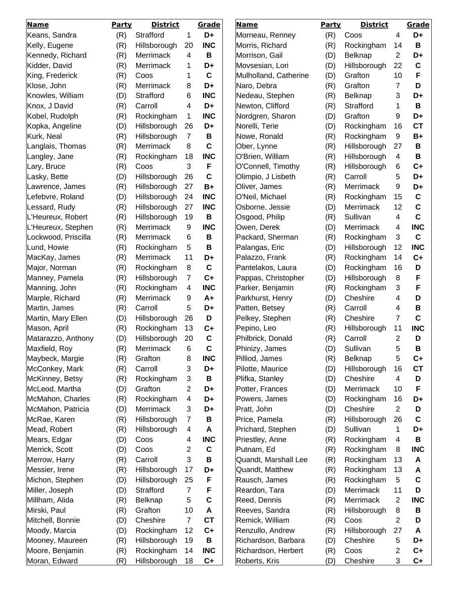| <b>Name</b>         | Party | <b>District</b> |                         | Grade            | <b>Name</b>                      | <b>Party</b> | <b>District</b>     |                | <b>Grade</b>    |
|---------------------|-------|-----------------|-------------------------|------------------|----------------------------------|--------------|---------------------|----------------|-----------------|
| Keans, Sandra       | (R)   | Strafford       | 1                       | D+               | Morneau, Renney                  | (R)          | Coos                | 4              | D+              |
| Kelly, Eugene       | (R)   | Hillsborough    | 20                      | <b>INC</b>       | Morris, Richard                  | (R)          | Rockingham          | 14             | B               |
| Kennedy, Richard    | (R)   | Merrimack       | 4                       | B                | Morrison, Gail                   | (D)          | <b>Belknap</b>      | $\overline{2}$ | D+              |
| Kidder, David       | (R)   | Merrimack       | 1                       | D+               | Movsesian, Lori                  | (D)          | Hillsborough        | 22             | $\mathbf c$     |
| King, Frederick     | (R)   | Coos            | 1                       | $\mathbf c$      | Mulholland, Catherine            | (D)          | Grafton             | 10             | F               |
| Klose, John         | (R)   | Merrimack       | 8                       | D+               | Naro, Debra                      | (R)          | Grafton             | 7              | D               |
| Knowles, William    | (D)   | Strafford       | 6                       | <b>INC</b>       | Nedeau, Stephen                  | (R)          | Belknap             | 3              | D+              |
| Knox, J David       | (R)   | Carroll         | 4                       | D+               | Newton, Clifford                 | (R)          | Strafford           | 1              | B               |
| Kobel, Rudolph      | (R)   | Rockingham      | 1                       | <b>INC</b>       | Nordgren, Sharon                 | (D)          | Grafton             | 9              | D+              |
| Kopka, Angeline     | (D)   | Hillsborough    | 26                      | D+               | Norelli, Terie                   | (D)          | Rockingham          | 16             | <b>CT</b>       |
| Kurk, Neal          | (R)   | Hillsborough    | $\overline{7}$          | В                | Nowe, Ronald                     | (R)          | Rockingham          | 9              | $B+$            |
| Langlais, Thomas    | (R)   | Merrimack       | 8                       | $\mathbf c$      | Ober, Lynne                      | (R)          | Hillsborough        | 27             | B               |
| Langley, Jane       | (R)   | Rockingham      | 18                      | <b>INC</b>       | O'Brien, William                 | (R)          | Hillsborough        | 4              | B               |
| Lary, Bruce         | (R)   | Coos            | 3                       | F                | O'Connell, Timothy               | (R)          | Hillsborough        | 6              | $C+$            |
| Lasky, Bette        | (D)   | Hillsborough    | 26                      | $\mathbf c$      | Olimpio, J Lisbeth               | (R)          | Carroll             | 5              | D+              |
| Lawrence, James     | (R)   | Hillsborough    | 27                      | $B+$             | Oliver, James                    | (R)          | Merrimack           | 9              | D+              |
| Lefebvre, Roland    | (D)   | Hillsborough    | 24                      | <b>INC</b>       | O'Neil, Michael                  | (R)          | Rockingham          | 15             | C               |
| Lessard, Rudy       | (R)   | Hillsborough    | 27                      | <b>INC</b>       | Osborne, Jessie                  | (D)          | <b>Merrimack</b>    | 12             | $\mathbf c$     |
| L'Heureux, Robert   | (R)   | Hillsborough    | 19                      | B                | Osgood, Philip                   | (R)          | Sullivan            | 4              | $\mathbf c$     |
| L'Heureux, Stephen  | (R)   | Merrimack       | 9                       | <b>INC</b>       | Owen, Derek                      | (D)          | Merrimack           | 4              | <b>INC</b>      |
| Lockwood, Priscilla | (R)   | Merrimack       | 6                       | B                | Packard, Sherman                 | (R)          | Rockingham          | 3              | C               |
| Lund, Howie         | (R)   | Rockingham      | 5                       | B                | Palangas, Eric                   | (D)          | Hillsborough        | 12             | <b>INC</b>      |
| MacKay, James       | (R)   | Merrimack       | 11                      | D+               | Palazzo, Frank                   | (R)          | Rockingham          | 14             | $C+$            |
| Major, Norman       | (R)   | Rockingham      | 8                       | $\mathbf c$      | Pantelakos, Laura                | (D)          | Rockingham          | 16             | D               |
| Manney, Pamela      | (R)   | Hillsborough    | $\overline{7}$          | $C+$             | Pappas, Christopher              | (D)          | Hillsborough        | 8              | F               |
| Manning, John       | (R)   | Rockingham      | 4                       | <b>INC</b>       | Parker, Benjamin                 | (R)          | Rockingham          | 3              | F               |
| Marple, Richard     | (R)   | Merrimack       | 9                       | $A+$             | Parkhurst, Henry                 | (D)          | Cheshire            | 4              | D               |
| Martin, James       |       | Carroll         | 5                       | D+               | Patten, Betsey                   |              | Carroll             | 4              | B               |
| Martin, Mary Ellen  | (R)   | Hillsborough    | 26                      | D                | Pelkey, Stephen                  | (R)          | Cheshire            | $\overline{7}$ | $\mathbf c$     |
|                     | (D)   | Rockingham      | 13                      |                  |                                  | (R)          |                     | 11             |                 |
| Mason, April        | (R)   |                 |                         | $C+$             | Pepino, Leo<br>Philbrick, Donald | (R)          | Hillsborough        |                | <b>INC</b><br>D |
| Matarazzo, Anthony  | (D)   | Hillsborough    | 20                      | C<br>$\mathbf c$ |                                  | (R)          | Carroll<br>Sullivan | 2              | B               |
| Maxfield, Roy       | (R)   | Merrimack       | 6                       |                  | Phinizy, James<br>Pilliod, James | (D)          |                     | 5              |                 |
| Maybeck, Margie     | (R)   | Grafton         | 8                       | INC              |                                  | (R)          | Belknap             | 5              | <b>C+</b>       |
| McConkey, Mark      | (R)   | Carroll         | 3                       | D+               | Pilotte, Maurice                 | (D)          | Hillsborough        | 16             | <b>CT</b>       |
| McKinney, Betsy     | (R)   | Rockingham      | 3                       | B                | Plifka, Stanley                  | (D)          | Cheshire            | 4              | D               |
| McLeod, Martha      | (D)   | Grafton         | $\overline{2}$          | D+               | Potter, Frances                  | (D)          | Merrimack           | 10             | F               |
| McMahon, Charles    | (R)   | Rockingham      | $\overline{\mathbf{4}}$ | D+               | Powers, James                    | (D)          | Rockingham          | 16             | D+              |
| McMahon, Patricia   | (D)   | Merrimack       | 3                       | D+               | Pratt, John                      | (D)          | Cheshire            | $\overline{2}$ | D               |
| McRae, Karen        | (R)   | Hillsborough    | $\overline{7}$          | В                | Price, Pamela                    | (R)          | Hillsborough        | 26             | C               |
| Mead, Robert        | (R)   | Hillsborough    | 4                       | A                | Prichard, Stephen                | (D)          | Sullivan            | 1              | D+              |
| Mears, Edgar        | (D)   | Coos            | $\overline{\mathbf{4}}$ | <b>INC</b>       | Priestley, Anne                  | (R)          | Rockingham          | 4              | B               |
| Merrick, Scott      | (D)   | Coos            | $\overline{2}$          | $\mathbf c$      | Putnam, Ed                       | (R)          | Rockingham          | 8              | <b>INC</b>      |
| Merrow, Harry       | (R)   | Carroll         | 3                       | B                | Quandt, Marshall Lee             | (R)          | Rockingham          | 13             | A               |
| Messier, Irene      | (R)   | Hillsborough    | 17                      | D+               | Quandt, Matthew                  | (R)          | Rockingham          | 13             | A               |
| Michon, Stephen     | (D)   | Hillsborough    | 25                      | F                | Rausch, James                    | (R)          | Rockingham          | 5              | $\mathbf c$     |
| Miller, Joseph      | (D)   | Strafford       | $\overline{7}$          | F                | Reardon, Tara                    | (D)          | Merrimack           | 11             | D               |
| Millham, Alida      | (R)   | Belknap         | 5                       | C                | Reed, Dennis                     | (R)          | Merrimack           | $\overline{2}$ | <b>INC</b>      |
| Mirski, Paul        | (R)   | Grafton         | 10                      | A                | Reeves, Sandra                   | (R)          | Hillsborough        | 8              | B               |
| Mitchell, Bonnie    | (D)   | Cheshire        | $\overline{7}$          | <b>CT</b>        | Remick, William                  | (R)          | Coos                | $\overline{2}$ | D               |
| Moody, Marcia       | (D)   | Rockingham      | 12                      | $C+$             | Renzullo, Andrew                 | (R)          | Hillsborough        | 27             | Α               |
| Mooney, Maureen     | (R)   | Hillsborough    | 19                      | B                | Richardson, Barbara              | (D)          | Cheshire            | 5              | D+              |
| Moore, Benjamin     | (R)   | Rockingham      | 14                      | <b>INC</b>       | Richardson, Herbert              | (R)          | Coos                | 2              | $C+$            |
| Moran, Edward       | (R)   | Hillsborough    | 18                      | $C+$             | Roberts, Kris                    | (D)          | Cheshire            | 3              | $C+$            |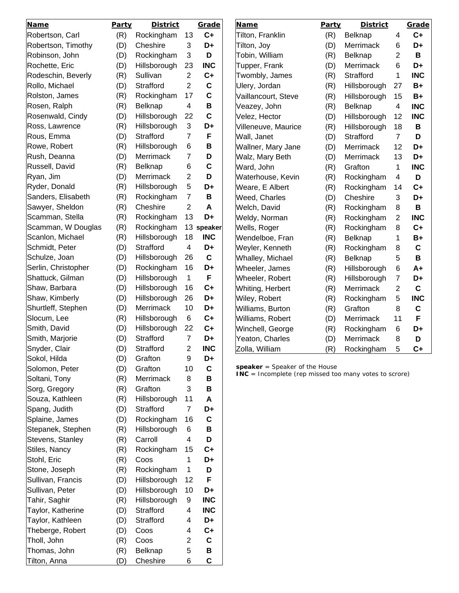| <b>Name</b>         | Party | <b>District</b> |                | Grade       | <b>Name</b>                                                                                | Party | <b>District</b> |                | Grade       |
|---------------------|-------|-----------------|----------------|-------------|--------------------------------------------------------------------------------------------|-------|-----------------|----------------|-------------|
| Robertson, Carl     | (R)   | Rockingham      | 13             | $C+$        | Tilton, Franklin                                                                           | (R)   | Belknap         | 4              | $C+$        |
| Robertson, Timothy  | (D)   | Cheshire        | 3              | D+          | Tilton, Joy                                                                                | (D)   | Merrimack       | 6              | D+          |
| Robinson, John      | (D)   | Rockingham      | 3              | D           | Tobin, William                                                                             | (R)   | <b>Belknap</b>  | 2              | B           |
| Rochette, Eric      | (D)   | Hillsborough    | 23             | <b>INC</b>  | Tupper, Frank                                                                              | (D)   | Merrimack       | 6              | D+          |
| Rodeschin, Beverly  | (R)   | Sullivan        | $\overline{2}$ | $C+$        | Twombly, James                                                                             | (R)   | Strafford       | 1              | <b>INC</b>  |
| Rollo, Michael      | (D)   | Strafford       | 2              | C           | Ulery, Jordan                                                                              | (R)   | Hillsborough    | 27             | B+          |
| Rolston, James      | (R)   | Rockingham      | 17             | C           | Vaillancourt, Steve                                                                        | (R)   | Hillsborough    | 15             | B+          |
| Rosen, Ralph        | (R)   | Belknap         | 4              | B           | Veazey, John                                                                               | (R)   | Belknap         | 4              | <b>INC</b>  |
| Rosenwald, Cindy    | (D)   | Hillsborough    | 22             | $\mathbf C$ | Velez, Hector                                                                              | (D)   | Hillsborough    | 12             | <b>INC</b>  |
| Ross, Lawrence      | (R)   | Hillsborough    | 3              | D+          | Villeneuve, Maurice                                                                        | (R)   | Hillsborough    | 18             | B           |
| Rous, Emma          | (D)   | Strafford       | $\overline{7}$ | F           | Wall, Janet                                                                                | (D)   | Strafford       | $\overline{7}$ | D           |
| Rowe, Robert        | (R)   | Hillsborough    | 6              | В           | Wallner, Mary Jane                                                                         | (D)   | Merrimack       | 12             | D+          |
| Rush, Deanna        | (D)   | Merrimack       | 7              | D           | Walz, Mary Beth                                                                            | (D)   | Merrimack       | 13             | D+          |
| Russell, David      | (R)   | Belknap         | 6              | C           | Ward, John                                                                                 | (R)   | Grafton         | 1              | <b>INC</b>  |
| Ryan, Jim           | (D)   | Merrimack       | $\overline{c}$ | D           | Waterhouse, Kevin                                                                          | (R)   | Rockingham      | 4              | D           |
| Ryder, Donald       | (R)   | Hillsborough    | 5              | D+          | Weare, E Albert                                                                            | (R)   | Rockingham      | 14             | $C+$        |
| Sanders, Elisabeth  | (R)   | Rockingham      | $\overline{7}$ | B           | Weed, Charles                                                                              | (D)   | Cheshire        | 3              | D+          |
| Sawyer, Sheldon     | (R)   | Cheshire        | $\overline{c}$ | A           | Welch, David                                                                               | (R)   | Rockingham      | 8              | В           |
| Scamman, Stella     | (R)   | Rockingham      | 13             | D+          | Weldy, Norman                                                                              | (R)   | Rockingham      | 2              | <b>INC</b>  |
| Scamman, W Douglas  | (R)   | Rockingham      |                | 13 speaker  | Wells, Roger                                                                               | (R)   | Rockingham      | 8              | $C+$        |
| Scanlon, Michael    | (R)   | Hillsborough    | 18             | <b>INC</b>  | Wendelboe, Fran                                                                            | (R)   | Belknap         | 1              | B+          |
| Schmidt, Peter      | (D)   | Strafford       | 4              | D+          | Weyler, Kenneth                                                                            | (R)   | Rockingham      | 8              | $\mathbf c$ |
| Schulze, Joan       | (D)   | Hillsborough    | 26             | $\mathbf c$ | Whalley, Michael                                                                           | (R)   | Belknap         | 5              | B           |
| Serlin, Christopher | (D)   | Rockingham      | 16             | D+          | Wheeler, James                                                                             | (R)   | Hillsborough    | 6              | A+          |
| Shattuck, Gilman    | (D)   | Hillsborough    | 1              | F           | Wheeler, Robert                                                                            | (R)   | Hillsborough    | 7              | D+          |
| Shaw, Barbara       | (D)   | Hillsborough    | 16             | $C+$        | Whiting, Herbert                                                                           | (R)   | Merrimack       | $\overline{2}$ | $\mathbf c$ |
| Shaw, Kimberly      | (D)   | Hillsborough    | 26             | D+          | Wiley, Robert                                                                              | (R)   | Rockingham      | 5              | <b>INC</b>  |
| Shurtleff, Stephen  | (D)   | Merrimack       | 10             | D+          | Williams, Burton                                                                           | (R)   | Grafton         | 8              | $\mathbf c$ |
| Slocum, Lee         | (R)   | Hillsborough    | 6              | $C+$        | Williams, Robert                                                                           | (D)   | Merrimack       | 11             | F           |
| Smith, David        | (D)   | Hillsborough    | 22             | $C+$        | Winchell, George                                                                           | (R)   | Rockingham      | 6              | D+          |
| Smith, Marjorie     | (D)   | Strafford       | $\overline{7}$ | D+          | Yeaton, Charles                                                                            | (D)   | Merrimack       | 8              | D           |
| Snyder, Clair       | (D)   | Strafford       | 2              | <b>INC</b>  | Zolla, William                                                                             | (R)   | Rockingham      | 5              | $C+$        |
| Sokol, Hilda        | (D)   | Grafton         | 9              | D+          |                                                                                            |       |                 |                |             |
| Solomon, Peter      | (D)   | Grafton         | 10             | $\mathbf C$ | speaker $=$ Speaker of the House<br>INC = Incomplete (rep missed too many votes to scrore) |       |                 |                |             |
| Soltani, Tony       | (R)   | Merrimack       | 8              | B           |                                                                                            |       |                 |                |             |
| Sorg, Gregory       | (R)   | Grafton         | 3              | B           |                                                                                            |       |                 |                |             |
| Souza, Kathleen     | (R)   | Hillsborough    | 11             | A           |                                                                                            |       |                 |                |             |
| Spang, Judith       | (D)   | Strafford       | $\overline{7}$ | D+          |                                                                                            |       |                 |                |             |
| Splaine, James      | (D)   | Rockingham      | 16             | $\mathbf c$ |                                                                                            |       |                 |                |             |
| Stepanek, Stephen   | (R)   | Hillsborough    | 6              | B           |                                                                                            |       |                 |                |             |
| Stevens, Stanley    | (R)   | Carroll         | 4              | D           |                                                                                            |       |                 |                |             |
| Stiles, Nancy       | (R)   | Rockingham      | 15             | $C+$        |                                                                                            |       |                 |                |             |
| Stohl, Eric         | (R)   | Coos            | 1              | D+          |                                                                                            |       |                 |                |             |
| Stone, Joseph       | (R)   | Rockingham      | 1              | D           |                                                                                            |       |                 |                |             |
| Sullivan, Francis   | (D)   | Hillsborough    | 12             | F           |                                                                                            |       |                 |                |             |
| Sullivan, Peter     | (D)   | Hillsborough    | 10             | D+          |                                                                                            |       |                 |                |             |
| Tahir, Saghir       | (R)   | Hillsborough    | 9              | <b>INC</b>  |                                                                                            |       |                 |                |             |
| Taylor, Katherine   | (D)   | Strafford       | 4              | <b>INC</b>  |                                                                                            |       |                 |                |             |
| Taylor, Kathleen    | (D)   | Strafford       | 4              | D+          |                                                                                            |       |                 |                |             |
| Theberge, Robert    | (D)   | Coos            | 4              | $C+$        |                                                                                            |       |                 |                |             |
| Tholl, John         | (R)   | Coos            | 2              | $\mathbf c$ |                                                                                            |       |                 |                |             |
| Thomas, John        | (R)   | Belknap         | 5              | В           |                                                                                            |       |                 |                |             |
| Tilton, Anna        | (D)   | Cheshire        | 6              | $\mathbf c$ |                                                                                            |       |                 |                |             |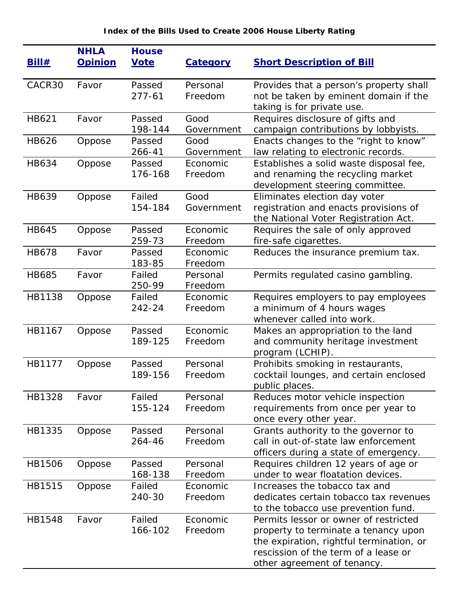## **Index of the Bills Used to Create 2006 House Liberty Rating**

| <u>Bill#</u> | <b>NHLA</b><br><b>Opinion</b> | <b>House</b><br><b>Vote</b> | <b>Category</b>     | <b>Short Description of Bill</b>                                             |
|--------------|-------------------------------|-----------------------------|---------------------|------------------------------------------------------------------------------|
|              |                               |                             |                     |                                                                              |
| CACR30       | Favor                         | Passed                      | Personal            | Provides that a person's property shall                                      |
|              |                               | $277 - 61$                  | Freedom             | not be taken by eminent domain if the                                        |
|              |                               |                             |                     | taking is for private use.                                                   |
| HB621        | Favor                         | Passed                      | Good                | Requires disclosure of gifts and                                             |
|              |                               | 198-144                     | Government          | campaign contributions by lobbyists.                                         |
| HB626        | Oppose                        | Passed<br>266-41            | Good<br>Government  | Enacts changes to the "right to know"<br>law relating to electronic records. |
| <b>HB634</b> | Oppose                        | Passed                      | Economic            | Establishes a solid waste disposal fee,                                      |
|              |                               | 176-168                     | Freedom             | and renaming the recycling market                                            |
|              |                               |                             |                     | development steering committee.                                              |
| <b>HB639</b> | Oppose                        | Failed                      | Good                | Eliminates election day voter                                                |
|              |                               | 154-184                     | Government          | registration and enacts provisions of                                        |
|              |                               |                             |                     | the National Voter Registration Act.                                         |
| <b>HB645</b> | Oppose                        | Passed                      | Economic            | Requires the sale of only approved                                           |
|              |                               | 259-73                      | Freedom             | fire-safe cigarettes.                                                        |
| <b>HB678</b> | Favor                         | Passed                      | Economic            | Reduces the insurance premium tax.                                           |
|              |                               | 183-85                      | Freedom             |                                                                              |
| <b>HB685</b> | Favor                         | Failed                      | Personal            | Permits regulated casino gambling.                                           |
|              |                               | 250-99                      | Freedom             |                                                                              |
| HB1138       | Oppose                        | Failed<br>242-24            | Economic<br>Freedom | Requires employers to pay employees                                          |
|              |                               |                             |                     | a minimum of 4 hours wages<br>whenever called into work.                     |
| HB1167       | Oppose                        | Passed                      | Economic            | Makes an appropriation to the land                                           |
|              |                               | 189-125                     | Freedom             | and community heritage investment                                            |
|              |                               |                             |                     | program (LCHIP).                                                             |
| HB1177       | Oppose                        | Passed                      | Personal            | Prohibits smoking in restaurants,                                            |
|              |                               | 189-156                     | Freedom             | cocktail lounges, and certain enclosed                                       |
|              |                               |                             |                     | public places.                                                               |
| HB1328       | Favor                         | Failed                      | Personal            | Reduces motor vehicle inspection                                             |
|              |                               | 155-124                     | Freedom             | requirements from once per year to                                           |
|              |                               |                             |                     | once every other year.                                                       |
| HB1335       | Oppose                        | Passed                      | Personal            | Grants authority to the governor to                                          |
|              |                               | 264-46                      | Freedom             | call in out-of-state law enforcement                                         |
| HB1506       |                               | Passed                      | Personal            | officers during a state of emergency.                                        |
|              | Oppose                        | 168-138                     | Freedom             | Requires children 12 years of age or<br>under to wear floatation devices.    |
| HB1515       | Oppose                        | Failed                      | Economic            | Increases the tobacco tax and                                                |
|              |                               | 240-30                      | Freedom             | dedicates certain tobacco tax revenues                                       |
|              |                               |                             |                     | to the tobacco use prevention fund.                                          |
| HB1548       | Favor                         | Failed                      | Economic            | Permits lessor or owner of restricted                                        |
|              |                               | 166-102                     | Freedom             | property to terminate a tenancy upon                                         |
|              |                               |                             |                     | the expiration, rightful termination, or                                     |
|              |                               |                             |                     | rescission of the term of a lease or                                         |
|              |                               |                             |                     | other agreement of tenancy.                                                  |